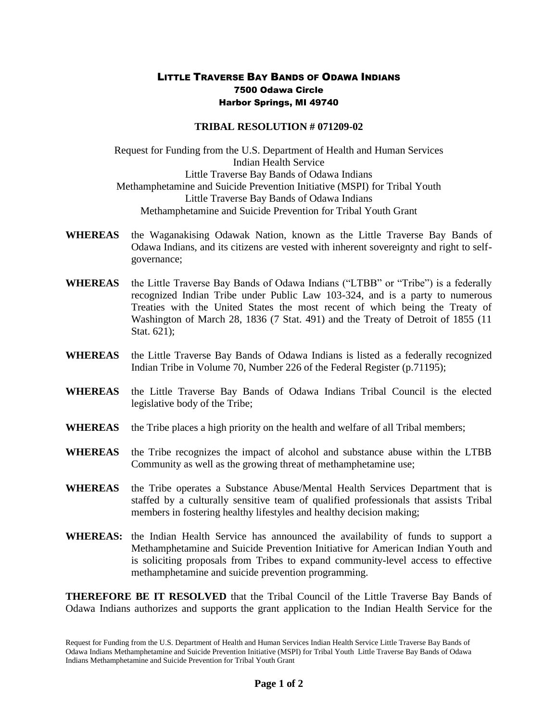## LITTLE TRAVERSE BAY BANDS OF ODAWA INDIANS 7500 Odawa Circle Harbor Springs, MI 49740

## **TRIBAL RESOLUTION # 071209-02**

Request for Funding from the U.S. Department of Health and Human Services Indian Health Service Little Traverse Bay Bands of Odawa Indians Methamphetamine and Suicide Prevention Initiative (MSPI) for Tribal Youth Little Traverse Bay Bands of Odawa Indians Methamphetamine and Suicide Prevention for Tribal Youth Grant

- **WHEREAS** the Waganakising Odawak Nation, known as the Little Traverse Bay Bands of Odawa Indians, and its citizens are vested with inherent sovereignty and right to selfgovernance;
- **WHEREAS** the Little Traverse Bay Bands of Odawa Indians ("LTBB" or "Tribe") is a federally recognized Indian Tribe under Public Law 103-324, and is a party to numerous Treaties with the United States the most recent of which being the Treaty of Washington of March 28, 1836 (7 Stat. 491) and the Treaty of Detroit of 1855 (11 Stat. 621);
- **WHEREAS** the Little Traverse Bay Bands of Odawa Indians is listed as a federally recognized Indian Tribe in Volume 70, Number 226 of the Federal Register (p.71195);
- **WHEREAS** the Little Traverse Bay Bands of Odawa Indians Tribal Council is the elected legislative body of the Tribe;
- **WHEREAS** the Tribe places a high priority on the health and welfare of all Tribal members;
- **WHEREAS** the Tribe recognizes the impact of alcohol and substance abuse within the LTBB Community as well as the growing threat of methamphetamine use;
- **WHEREAS** the Tribe operates a Substance Abuse/Mental Health Services Department that is staffed by a culturally sensitive team of qualified professionals that assists Tribal members in fostering healthy lifestyles and healthy decision making;
- **WHEREAS:** the Indian Health Service has announced the availability of funds to support a Methamphetamine and Suicide Prevention Initiative for American Indian Youth and is soliciting proposals from Tribes to expand community-level access to effective methamphetamine and suicide prevention programming.

**THEREFORE BE IT RESOLVED** that the Tribal Council of the Little Traverse Bay Bands of Odawa Indians authorizes and supports the grant application to the Indian Health Service for the

Request for Funding from the U.S. Department of Health and Human Services Indian Health Service Little Traverse Bay Bands of Odawa Indians Methamphetamine and Suicide Prevention Initiative (MSPI) for Tribal Youth Little Traverse Bay Bands of Odawa Indians Methamphetamine and Suicide Prevention for Tribal Youth Grant